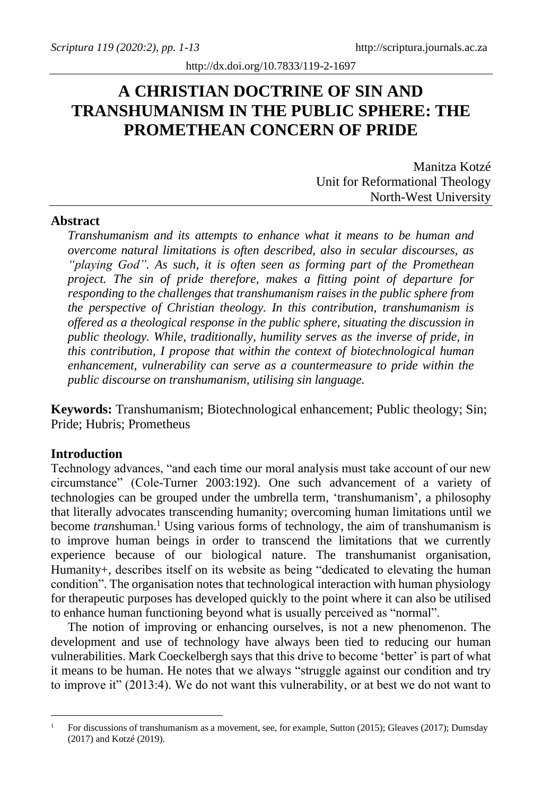# **A CHRISTIAN DOCTRINE OF SIN AND TRANSHUMANISM IN THE PUBLIC SPHERE: THE PROMETHEAN CONCERN OF PRIDE**

Manitza Kotzé Unit for Reformational Theology North-West University

## **Abstract**

*Transhumanism and its attempts to enhance what it means to be human and overcome natural limitations is often described, also in secular discourses, as "playing God". As such, it is often seen as forming part of the Promethean project. The sin of pride therefore, makes a fitting point of departure for responding to the challenges that transhumanism raises in the public sphere from the perspective of Christian theology. In this contribution, transhumanism is offered as a theological response in the public sphere, situating the discussion in public theology. While, traditionally, humility serves as the inverse of pride, in this contribution, I propose that within the context of biotechnological human enhancement, vulnerability can serve as a countermeasure to pride within the public discourse on transhumanism, utilising sin language.*

**Keywords:** Transhumanism; Biotechnological enhancement; Public theology; Sin; Pride; Hubris; Prometheus

#### **Introduction**

Technology advances, "and each time our moral analysis must take account of our new circumstance" (Cole-Turner 2003:192). One such advancement of a variety of technologies can be grouped under the umbrella term, 'transhumanism', a philosophy that literally advocates transcending humanity; overcoming human limitations until we become *transhuman*.<sup>1</sup> Using various forms of technology, the aim of transhumanism is to improve human beings in order to transcend the limitations that we currently experience because of our biological nature. The transhumanist organisation, Humanity+, describes itself on its website as being "dedicated to elevating the human condition". The organisation notes that technological interaction with human physiology for therapeutic purposes has developed quickly to the point where it can also be utilised to enhance human functioning beyond what is usually perceived as "normal".

The notion of improving or enhancing ourselves, is not a new phenomenon. The development and use of technology have always been tied to reducing our human vulnerabilities. Mark Coeckelbergh says that this drive to become 'better' is part of what it means to be human. He notes that we always "struggle against our condition and try to improve it" (2013:4). We do not want this vulnerability, or at best we do not want to

<sup>1</sup> For discussions of transhumanism as a movement, see, for example, Sutton (2015); Gleaves (2017); Dumsday (2017) and Kotzé (2019).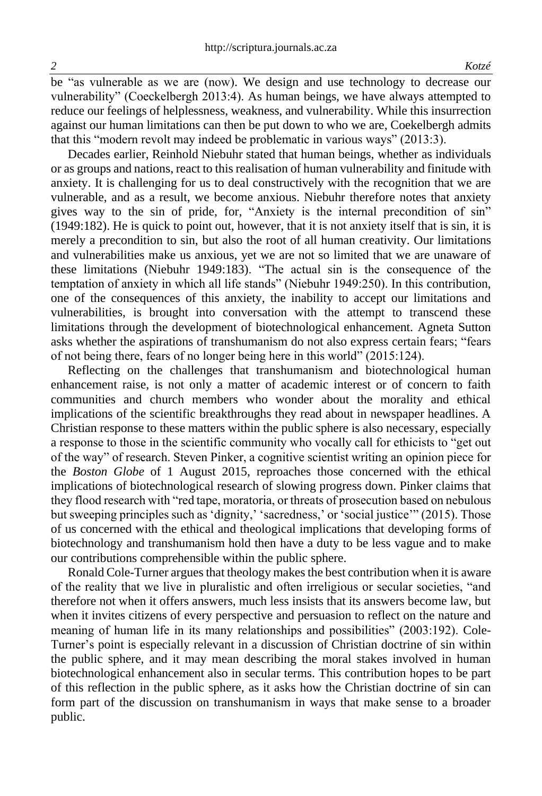be "as vulnerable as we are (now). We design and use technology to decrease our vulnerability" (Coeckelbergh 2013:4). As human beings, we have always attempted to reduce our feelings of helplessness, weakness, and vulnerability. While this insurrection against our human limitations can then be put down to who we are, Coekelbergh admits that this "modern revolt may indeed be problematic in various ways" (2013:3).

Decades earlier, Reinhold Niebuhr stated that human beings, whether as individuals or as groups and nations, react to this realisation of human vulnerability and finitude with anxiety. It is challenging for us to deal constructively with the recognition that we are vulnerable, and as a result, we become anxious. Niebuhr therefore notes that anxiety gives way to the sin of pride, for, "Anxiety is the internal precondition of sin" (1949:182). He is quick to point out, however, that it is not anxiety itself that is sin, it is merely a precondition to sin, but also the root of all human creativity. Our limitations and vulnerabilities make us anxious, yet we are not so limited that we are unaware of these limitations (Niebuhr 1949:183). "The actual sin is the consequence of the temptation of anxiety in which all life stands" (Niebuhr 1949:250). In this contribution, one of the consequences of this anxiety, the inability to accept our limitations and vulnerabilities, is brought into conversation with the attempt to transcend these limitations through the development of biotechnological enhancement. Agneta Sutton asks whether the aspirations of transhumanism do not also express certain fears; "fears of not being there, fears of no longer being here in this world" (2015:124).

Reflecting on the challenges that transhumanism and biotechnological human enhancement raise, is not only a matter of academic interest or of concern to faith communities and church members who wonder about the morality and ethical implications of the scientific breakthroughs they read about in newspaper headlines. A Christian response to these matters within the public sphere is also necessary, especially a response to those in the scientific community who vocally call for ethicists to "get out of the way" of research. Steven Pinker, a cognitive scientist writing an opinion piece for the *Boston Globe* of 1 August 2015, reproaches those concerned with the ethical implications of biotechnological research of slowing progress down. Pinker claims that they flood research with "red tape, moratoria, or threats of prosecution based on nebulous but sweeping principles such as 'dignity,' 'sacredness,' or 'social justice'" (2015). Those of us concerned with the ethical and theological implications that developing forms of biotechnology and transhumanism hold then have a duty to be less vague and to make our contributions comprehensible within the public sphere.

Ronald Cole-Turner argues that theology makes the best contribution when it is aware of the reality that we live in pluralistic and often irreligious or secular societies, "and therefore not when it offers answers, much less insists that its answers become law, but when it invites citizens of every perspective and persuasion to reflect on the nature and meaning of human life in its many relationships and possibilities" (2003:192). Cole-Turner's point is especially relevant in a discussion of Christian doctrine of sin within the public sphere, and it may mean describing the moral stakes involved in human biotechnological enhancement also in secular terms. This contribution hopes to be part of this reflection in the public sphere, as it asks how the Christian doctrine of sin can form part of the discussion on transhumanism in ways that make sense to a broader public.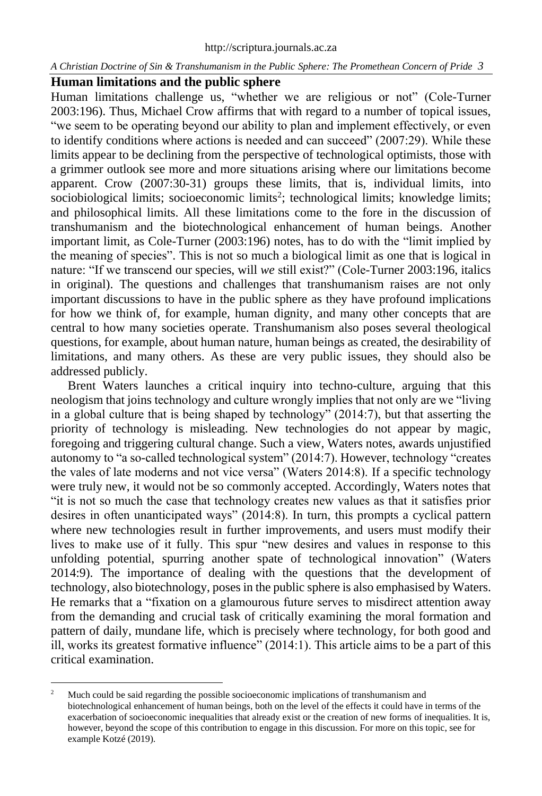# **Human limitations and the public sphere**

Human limitations challenge us, "whether we are religious or not" (Cole-Turner 2003:196). Thus, Michael Crow affirms that with regard to a number of topical issues, "we seem to be operating beyond our ability to plan and implement effectively, or even to identify conditions where actions is needed and can succeed" (2007:29). While these limits appear to be declining from the perspective of technological optimists, those with a grimmer outlook see more and more situations arising where our limitations become apparent. Crow (2007:30-31) groups these limits, that is, individual limits, into sociobiological limits; socioeconomic limits<sup>2</sup>; technological limits; knowledge limits; and philosophical limits. All these limitations come to the fore in the discussion of transhumanism and the biotechnological enhancement of human beings. Another important limit, as Cole-Turner (2003:196) notes, has to do with the "limit implied by the meaning of species". This is not so much a biological limit as one that is logical in nature: "If we transcend our species, will *we* still exist?" (Cole-Turner 2003:196, italics in original). The questions and challenges that transhumanism raises are not only important discussions to have in the public sphere as they have profound implications for how we think of, for example, human dignity, and many other concepts that are central to how many societies operate. Transhumanism also poses several theological questions, for example, about human nature, human beings as created, the desirability of limitations, and many others. As these are very public issues, they should also be addressed publicly.

Brent Waters launches a critical inquiry into techno-culture, arguing that this neologism that joins technology and culture wrongly implies that not only are we "living in a global culture that is being shaped by technology" (2014:7), but that asserting the priority of technology is misleading. New technologies do not appear by magic, foregoing and triggering cultural change. Such a view, Waters notes, awards unjustified autonomy to "a so-called technological system" (2014:7). However, technology "creates the vales of late moderns and not vice versa" (Waters 2014:8). If a specific technology were truly new, it would not be so commonly accepted. Accordingly, Waters notes that "it is not so much the case that technology creates new values as that it satisfies prior desires in often unanticipated ways" (2014:8). In turn, this prompts a cyclical pattern where new technologies result in further improvements, and users must modify their lives to make use of it fully. This spur "new desires and values in response to this unfolding potential, spurring another spate of technological innovation" (Waters 2014:9). The importance of dealing with the questions that the development of technology, also biotechnology, poses in the public sphere is also emphasised by Waters. He remarks that a "fixation on a glamourous future serves to misdirect attention away from the demanding and crucial task of critically examining the moral formation and pattern of daily, mundane life, which is precisely where technology, for both good and ill, works its greatest formative influence" (2014:1). This article aims to be a part of this critical examination.

<sup>2</sup> Much could be said regarding the possible socioeconomic implications of transhumanism and biotechnological enhancement of human beings, both on the level of the effects it could have in terms of the exacerbation of socioeconomic inequalities that already exist or the creation of new forms of inequalities. It is, however, beyond the scope of this contribution to engage in this discussion. For more on this topic, see for example Kotzé (2019).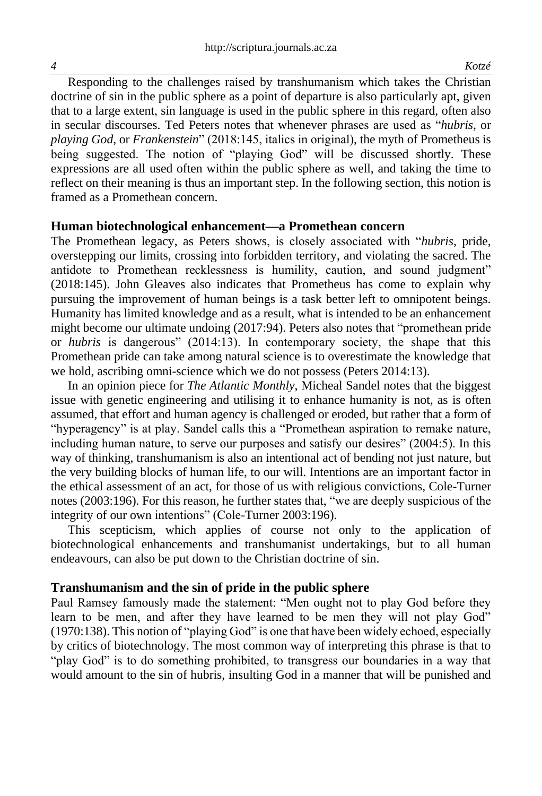Responding to the challenges raised by transhumanism which takes the Christian doctrine of sin in the public sphere as a point of departure is also particularly apt, given that to a large extent, sin language is used in the public sphere in this regard, often also in secular discourses. Ted Peters notes that whenever phrases are used as "*hubris*, or *playing God*, or *Frankenstein*" (2018:145, italics in original), the myth of Prometheus is being suggested. The notion of "playing God" will be discussed shortly. These expressions are all used often within the public sphere as well, and taking the time to reflect on their meaning is thus an important step. In the following section, this notion is framed as a Promethean concern.

#### **Human biotechnological enhancement—a Promethean concern**

The Promethean legacy, as Peters shows, is closely associated with "*hubris*, pride, overstepping our limits, crossing into forbidden territory, and violating the sacred. The antidote to Promethean recklessness is humility, caution, and sound judgment" (2018:145). John Gleaves also indicates that Prometheus has come to explain why pursuing the improvement of human beings is a task better left to omnipotent beings. Humanity has limited knowledge and as a result, what is intended to be an enhancement might become our ultimate undoing (2017:94). Peters also notes that "promethean pride or *hubris* is dangerous" (2014:13). In contemporary society, the shape that this Promethean pride can take among natural science is to overestimate the knowledge that we hold, ascribing omni-science which we do not possess (Peters 2014:13).

In an opinion piece for *The Atlantic Monthly*, Micheal Sandel notes that the biggest issue with genetic engineering and utilising it to enhance humanity is not, as is often assumed, that effort and human agency is challenged or eroded, but rather that a form of "hyperagency" is at play. Sandel calls this a "Promethean aspiration to remake nature, including human nature, to serve our purposes and satisfy our desires" (2004:5). In this way of thinking, transhumanism is also an intentional act of bending not just nature, but the very building blocks of human life, to our will. Intentions are an important factor in the ethical assessment of an act, for those of us with religious convictions, Cole-Turner notes (2003:196). For this reason, he further states that, "we are deeply suspicious of the integrity of our own intentions" (Cole-Turner 2003:196).

This scepticism, which applies of course not only to the application of biotechnological enhancements and transhumanist undertakings, but to all human endeavours, can also be put down to the Christian doctrine of sin.

#### **Transhumanism and the sin of pride in the public sphere**

Paul Ramsey famously made the statement: "Men ought not to play God before they learn to be men, and after they have learned to be men they will not play God" (1970:138). This notion of "playing God" is one that have been widely echoed, especially by critics of biotechnology. The most common way of interpreting this phrase is that to "play God" is to do something prohibited, to transgress our boundaries in a way that would amount to the sin of hubris, insulting God in a manner that will be punished and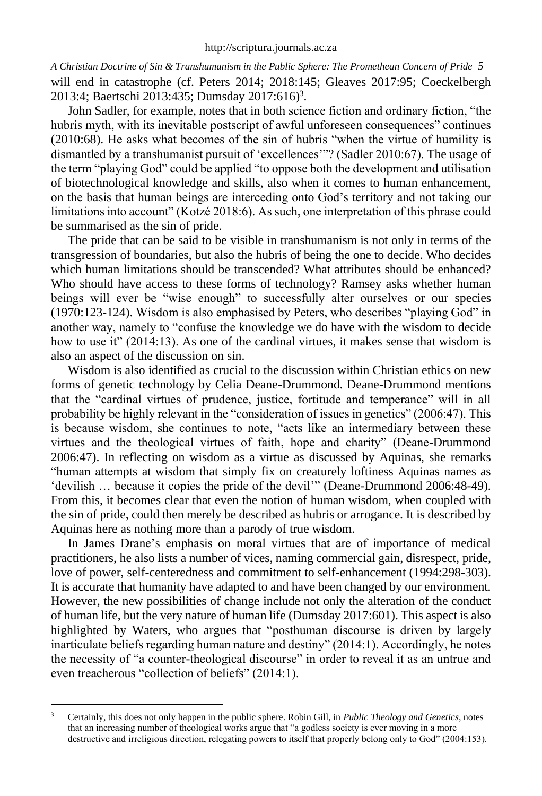*A Christian Doctrine of Sin & Transhumanism in the Public Sphere: The Promethean Concern of Pride 5* will end in catastrophe (cf. Peters 2014; 2018:145; Gleaves 2017:95; Coeckelbergh 2013:4; Baertschi 2013:435; Dumsday 2017:616) 3 .

John Sadler, for example, notes that in both science fiction and ordinary fiction, "the hubris myth, with its inevitable postscript of awful unforeseen consequences" continues (2010:68). He asks what becomes of the sin of hubris "when the virtue of humility is dismantled by a transhumanist pursuit of 'excellences'"? (Sadler 2010:67). The usage of the term "playing God" could be applied "to oppose both the development and utilisation of biotechnological knowledge and skills, also when it comes to human enhancement, on the basis that human beings are interceding onto God's territory and not taking our limitations into account" (Kotzé 2018:6). As such, one interpretation of this phrase could be summarised as the sin of pride.

The pride that can be said to be visible in transhumanism is not only in terms of the transgression of boundaries, but also the hubris of being the one to decide. Who decides which human limitations should be transcended? What attributes should be enhanced? Who should have access to these forms of technology? Ramsey asks whether human beings will ever be "wise enough" to successfully alter ourselves or our species (1970:123-124). Wisdom is also emphasised by Peters, who describes "playing God" in another way, namely to "confuse the knowledge we do have with the wisdom to decide how to use it" (2014:13). As one of the cardinal virtues, it makes sense that wisdom is also an aspect of the discussion on sin.

Wisdom is also identified as crucial to the discussion within Christian ethics on new forms of genetic technology by Celia Deane-Drummond. Deane-Drummond mentions that the "cardinal virtues of prudence, justice, fortitude and temperance" will in all probability be highly relevant in the "consideration of issues in genetics" (2006:47). This is because wisdom, she continues to note, "acts like an intermediary between these virtues and the theological virtues of faith, hope and charity" (Deane-Drummond 2006:47). In reflecting on wisdom as a virtue as discussed by Aquinas, she remarks "human attempts at wisdom that simply fix on creaturely loftiness Aquinas names as 'devilish … because it copies the pride of the devil'" (Deane-Drummond 2006:48-49). From this, it becomes clear that even the notion of human wisdom, when coupled with the sin of pride, could then merely be described as hubris or arrogance. It is described by Aquinas here as nothing more than a parody of true wisdom.

In James Drane's emphasis on moral virtues that are of importance of medical practitioners, he also lists a number of vices, naming commercial gain, disrespect, pride, love of power, self-centeredness and commitment to self-enhancement (1994:298-303). It is accurate that humanity have adapted to and have been changed by our environment. However, the new possibilities of change include not only the alteration of the conduct of human life, but the very nature of human life (Dumsday 2017:601). This aspect is also highlighted by Waters, who argues that "posthuman discourse is driven by largely inarticulate beliefs regarding human nature and destiny" (2014:1). Accordingly, he notes the necessity of "a counter-theological discourse" in order to reveal it as an untrue and even treacherous "collection of beliefs" (2014:1).

<sup>3</sup> Certainly, this does not only happen in the public sphere. Robin Gill, in *Public Theology and Genetics*, notes that an increasing number of theological works argue that "a godless society is ever moving in a more destructive and irreligious direction, relegating powers to itself that properly belong only to God" (2004:153).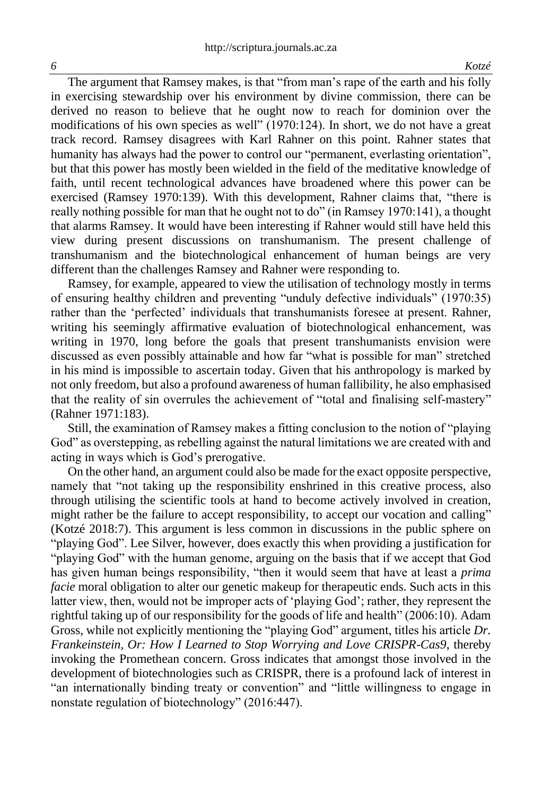The argument that Ramsey makes, is that "from man's rape of the earth and his folly in exercising stewardship over his environment by divine commission, there can be derived no reason to believe that he ought now to reach for dominion over the modifications of his own species as well" (1970:124). In short, we do not have a great track record. Ramsey disagrees with Karl Rahner on this point. Rahner states that humanity has always had the power to control our "permanent, everlasting orientation", but that this power has mostly been wielded in the field of the meditative knowledge of faith, until recent technological advances have broadened where this power can be exercised (Ramsey 1970:139). With this development, Rahner claims that, "there is really nothing possible for man that he ought not to do" (in Ramsey 1970:141), a thought that alarms Ramsey. It would have been interesting if Rahner would still have held this view during present discussions on transhumanism. The present challenge of transhumanism and the biotechnological enhancement of human beings are very different than the challenges Ramsey and Rahner were responding to.

Ramsey, for example, appeared to view the utilisation of technology mostly in terms of ensuring healthy children and preventing "unduly defective individuals" (1970:35) rather than the 'perfected' individuals that transhumanists foresee at present. Rahner, writing his seemingly affirmative evaluation of biotechnological enhancement, was writing in 1970, long before the goals that present transhumanists envision were discussed as even possibly attainable and how far "what is possible for man" stretched in his mind is impossible to ascertain today. Given that his anthropology is marked by not only freedom, but also a profound awareness of human fallibility, he also emphasised that the reality of sin overrules the achievement of "total and finalising self-mastery" (Rahner 1971:183).

Still, the examination of Ramsey makes a fitting conclusion to the notion of "playing God" as overstepping, as rebelling against the natural limitations we are created with and acting in ways which is God's prerogative.

On the other hand, an argument could also be made for the exact opposite perspective, namely that "not taking up the responsibility enshrined in this creative process, also through utilising the scientific tools at hand to become actively involved in creation, might rather be the failure to accept responsibility, to accept our vocation and calling" (Kotzé 2018:7). This argument is less common in discussions in the public sphere on "playing God". Lee Silver, however, does exactly this when providing a justification for "playing God" with the human genome, arguing on the basis that if we accept that God has given human beings responsibility, "then it would seem that have at least a *prima facie* moral obligation to alter our genetic makeup for therapeutic ends. Such acts in this latter view, then, would not be improper acts of 'playing God'; rather, they represent the rightful taking up of our responsibility for the goods of life and health" (2006:10). Adam Gross, while not explicitly mentioning the "playing God" argument, titles his article *Dr. Frankeinstein, Or: How I Learned to Stop Worrying and Love CRISPR-Cas9*, thereby invoking the Promethean concern. Gross indicates that amongst those involved in the development of biotechnologies such as CRISPR, there is a profound lack of interest in "an internationally binding treaty or convention" and "little willingness to engage in nonstate regulation of biotechnology" (2016:447).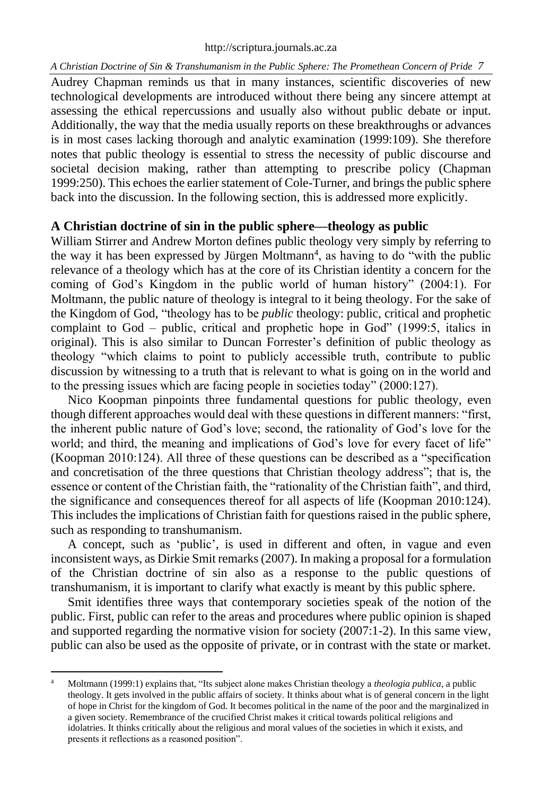Audrey Chapman reminds us that in many instances, scientific discoveries of new technological developments are introduced without there being any sincere attempt at assessing the ethical repercussions and usually also without public debate or input. Additionally, the way that the media usually reports on these breakthroughs or advances is in most cases lacking thorough and analytic examination (1999:109). She therefore notes that public theology is essential to stress the necessity of public discourse and societal decision making, rather than attempting to prescribe policy (Chapman 1999:250). This echoes the earlier statement of Cole-Turner, and brings the public sphere back into the discussion. In the following section, this is addressed more explicitly.

#### **A Christian doctrine of sin in the public sphere—theology as public**

William Stirrer and Andrew Morton defines public theology very simply by referring to the way it has been expressed by Jürgen Moltmann<sup>4</sup>, as having to do "with the public relevance of a theology which has at the core of its Christian identity a concern for the coming of God's Kingdom in the public world of human history" (2004:1). For Moltmann, the public nature of theology is integral to it being theology. For the sake of the Kingdom of God, "theology has to be *public* theology: public, critical and prophetic complaint to God – public, critical and prophetic hope in God" (1999:5, italics in original). This is also similar to Duncan Forrester's definition of public theology as theology "which claims to point to publicly accessible truth, contribute to public discussion by witnessing to a truth that is relevant to what is going on in the world and to the pressing issues which are facing people in societies today" (2000:127).

Nico Koopman pinpoints three fundamental questions for public theology, even though different approaches would deal with these questions in different manners: "first, the inherent public nature of God's love; second, the rationality of God's love for the world; and third, the meaning and implications of God's love for every facet of life" (Koopman 2010:124). All three of these questions can be described as a "specification and concretisation of the three questions that Christian theology address"; that is, the essence or content of the Christian faith, the "rationality of the Christian faith", and third, the significance and consequences thereof for all aspects of life (Koopman 2010:124). This includes the implications of Christian faith for questions raised in the public sphere, such as responding to transhumanism.

A concept, such as 'public', is used in different and often, in vague and even inconsistent ways, as Dirkie Smit remarks (2007). In making a proposal for a formulation of the Christian doctrine of sin also as a response to the public questions of transhumanism, it is important to clarify what exactly is meant by this public sphere.

Smit identifies three ways that contemporary societies speak of the notion of the public. First, public can refer to the areas and procedures where public opinion is shaped and supported regarding the normative vision for society (2007:1-2). In this same view, public can also be used as the opposite of private, or in contrast with the state or market.

Moltmann (1999:1) explains that, "Its subject alone makes Christian theology a *theologia publica*, a public theology. It gets involved in the public affairs of society. It thinks about what is of general concern in the light of hope in Christ for the kingdom of God. It becomes political in the name of the poor and the marginalized in a given society. Remembrance of the crucified Christ makes it critical towards political religions and idolatries. It thinks critically about the religious and moral values of the societies in which it exists, and presents it reflections as a reasoned position".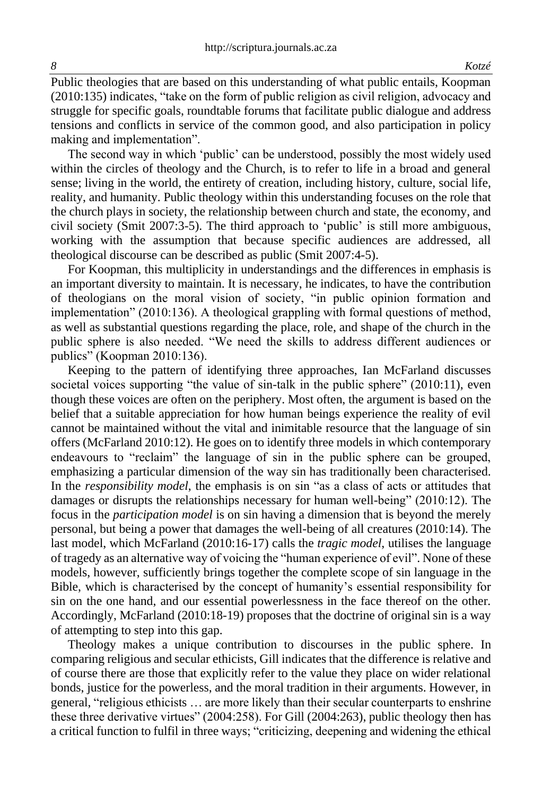Public theologies that are based on this understanding of what public entails, Koopman (2010:135) indicates, "take on the form of public religion as civil religion, advocacy and struggle for specific goals, roundtable forums that facilitate public dialogue and address tensions and conflicts in service of the common good, and also participation in policy making and implementation".

The second way in which 'public' can be understood, possibly the most widely used within the circles of theology and the Church, is to refer to life in a broad and general sense; living in the world, the entirety of creation, including history, culture, social life, reality, and humanity. Public theology within this understanding focuses on the role that the church plays in society, the relationship between church and state, the economy, and civil society (Smit 2007:3-5). The third approach to 'public' is still more ambiguous, working with the assumption that because specific audiences are addressed, all theological discourse can be described as public (Smit 2007:4-5).

For Koopman, this multiplicity in understandings and the differences in emphasis is an important diversity to maintain. It is necessary, he indicates, to have the contribution of theologians on the moral vision of society, "in public opinion formation and implementation" (2010:136). A theological grappling with formal questions of method, as well as substantial questions regarding the place, role, and shape of the church in the public sphere is also needed. "We need the skills to address different audiences or publics" (Koopman 2010:136).

Keeping to the pattern of identifying three approaches, Ian McFarland discusses societal voices supporting "the value of sin-talk in the public sphere" (2010:11), even though these voices are often on the periphery. Most often, the argument is based on the belief that a suitable appreciation for how human beings experience the reality of evil cannot be maintained without the vital and inimitable resource that the language of sin offers (McFarland 2010:12). He goes on to identify three models in which contemporary endeavours to "reclaim" the language of sin in the public sphere can be grouped, emphasizing a particular dimension of the way sin has traditionally been characterised. In the *responsibility model*, the emphasis is on sin "as a class of acts or attitudes that damages or disrupts the relationships necessary for human well-being" (2010:12). The focus in the *participation model* is on sin having a dimension that is beyond the merely personal, but being a power that damages the well-being of all creatures (2010:14). The last model, which McFarland (2010:16-17) calls the *tragic model*, utilises the language of tragedy as an alternative way of voicing the "human experience of evil". None of these models, however, sufficiently brings together the complete scope of sin language in the Bible, which is characterised by the concept of humanity's essential responsibility for sin on the one hand, and our essential powerlessness in the face thereof on the other. Accordingly, McFarland (2010:18-19) proposes that the doctrine of original sin is a way of attempting to step into this gap.

Theology makes a unique contribution to discourses in the public sphere. In comparing religious and secular ethicists, Gill indicates that the difference is relative and of course there are those that explicitly refer to the value they place on wider relational bonds, justice for the powerless, and the moral tradition in their arguments. However, in general, "religious ethicists … are more likely than their secular counterparts to enshrine these three derivative virtues" (2004:258). For Gill (2004:263), public theology then has a critical function to fulfil in three ways; "criticizing, deepening and widening the ethical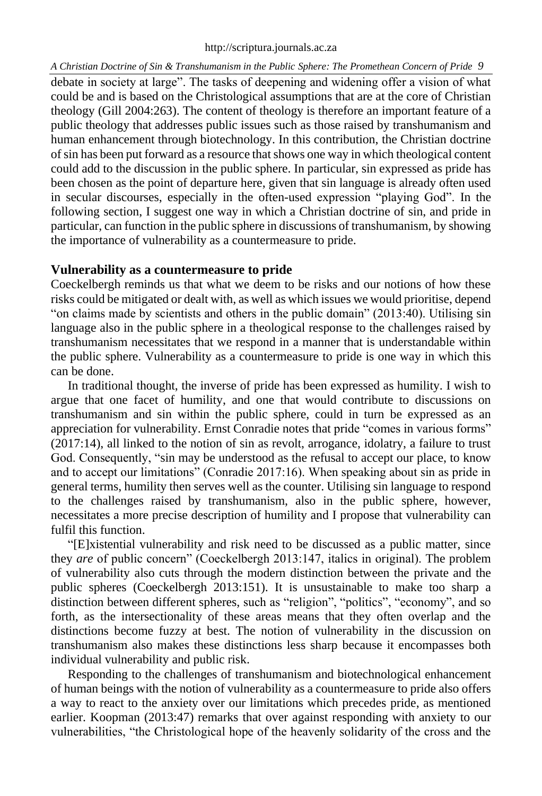debate in society at large". The tasks of deepening and widening offer a vision of what could be and is based on the Christological assumptions that are at the core of Christian theology (Gill 2004:263). The content of theology is therefore an important feature of a public theology that addresses public issues such as those raised by transhumanism and human enhancement through biotechnology. In this contribution, the Christian doctrine of sin has been put forward as a resource that shows one way in which theological content could add to the discussion in the public sphere. In particular, sin expressed as pride has been chosen as the point of departure here, given that sin language is already often used in secular discourses, especially in the often-used expression "playing God". In the following section, I suggest one way in which a Christian doctrine of sin, and pride in particular, can function in the public sphere in discussions of transhumanism, by showing the importance of vulnerability as a countermeasure to pride.

## **Vulnerability as a countermeasure to pride**

Coeckelbergh reminds us that what we deem to be risks and our notions of how these risks could be mitigated or dealt with, as well as which issues we would prioritise, depend "on claims made by scientists and others in the public domain" (2013:40). Utilising sin language also in the public sphere in a theological response to the challenges raised by transhumanism necessitates that we respond in a manner that is understandable within the public sphere. Vulnerability as a countermeasure to pride is one way in which this can be done.

In traditional thought, the inverse of pride has been expressed as humility. I wish to argue that one facet of humility, and one that would contribute to discussions on transhumanism and sin within the public sphere, could in turn be expressed as an appreciation for vulnerability. Ernst Conradie notes that pride "comes in various forms" (2017:14), all linked to the notion of sin as revolt, arrogance, idolatry, a failure to trust God. Consequently, "sin may be understood as the refusal to accept our place, to know and to accept our limitations" (Conradie 2017:16). When speaking about sin as pride in general terms, humility then serves well as the counter. Utilising sin language to respond to the challenges raised by transhumanism, also in the public sphere, however, necessitates a more precise description of humility and I propose that vulnerability can fulfil this function.

"[E]xistential vulnerability and risk need to be discussed as a public matter, since they *are* of public concern" (Coeckelbergh 2013:147, italics in original). The problem of vulnerability also cuts through the modern distinction between the private and the public spheres (Coeckelbergh 2013:151). It is unsustainable to make too sharp a distinction between different spheres, such as "religion", "politics", "economy", and so forth, as the intersectionality of these areas means that they often overlap and the distinctions become fuzzy at best. The notion of vulnerability in the discussion on transhumanism also makes these distinctions less sharp because it encompasses both individual vulnerability and public risk.

Responding to the challenges of transhumanism and biotechnological enhancement of human beings with the notion of vulnerability as a countermeasure to pride also offers a way to react to the anxiety over our limitations which precedes pride, as mentioned earlier. Koopman (2013:47) remarks that over against responding with anxiety to our vulnerabilities, "the Christological hope of the heavenly solidarity of the cross and the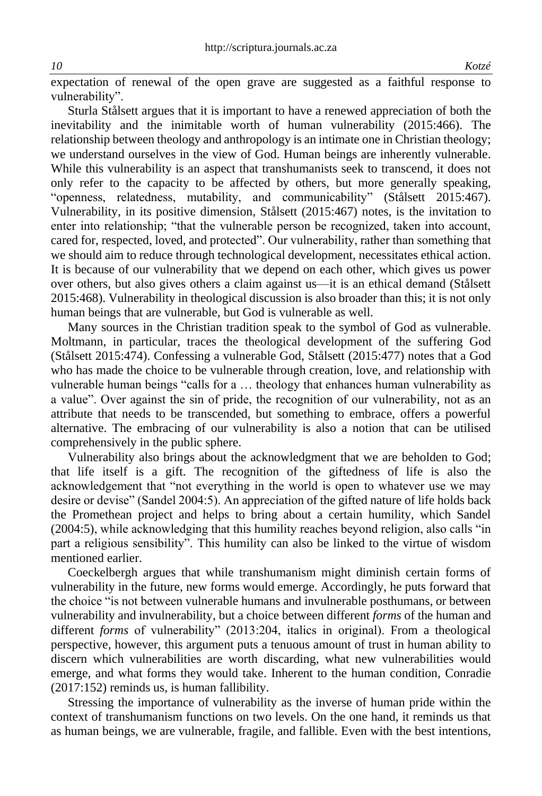expectation of renewal of the open grave are suggested as a faithful response to vulnerability".

Sturla Stålsett argues that it is important to have a renewed appreciation of both the inevitability and the inimitable worth of human vulnerability (2015:466). The relationship between theology and anthropology is an intimate one in Christian theology; we understand ourselves in the view of God. Human beings are inherently vulnerable. While this vulnerability is an aspect that transhumanists seek to transcend, it does not only refer to the capacity to be affected by others, but more generally speaking, "openness, relatedness, mutability, and communicability" (Stålsett 2015:467). Vulnerability, in its positive dimension, Stålsett (2015:467) notes, is the invitation to enter into relationship; "that the vulnerable person be recognized, taken into account, cared for, respected, loved, and protected". Our vulnerability, rather than something that we should aim to reduce through technological development, necessitates ethical action. It is because of our vulnerability that we depend on each other, which gives us power over others, but also gives others a claim against us—it is an ethical demand (Stålsett 2015:468). Vulnerability in theological discussion is also broader than this; it is not only human beings that are vulnerable, but God is vulnerable as well.

Many sources in the Christian tradition speak to the symbol of God as vulnerable. Moltmann, in particular, traces the theological development of the suffering God (Stålsett 2015:474). Confessing a vulnerable God, Stålsett (2015:477) notes that a God who has made the choice to be vulnerable through creation, love, and relationship with vulnerable human beings "calls for a … theology that enhances human vulnerability as a value". Over against the sin of pride, the recognition of our vulnerability, not as an attribute that needs to be transcended, but something to embrace, offers a powerful alternative. The embracing of our vulnerability is also a notion that can be utilised comprehensively in the public sphere.

Vulnerability also brings about the acknowledgment that we are beholden to God; that life itself is a gift. The recognition of the giftedness of life is also the acknowledgement that "not everything in the world is open to whatever use we may desire or devise" (Sandel 2004:5). An appreciation of the gifted nature of life holds back the Promethean project and helps to bring about a certain humility, which Sandel (2004:5), while acknowledging that this humility reaches beyond religion, also calls "in part a religious sensibility". This humility can also be linked to the virtue of wisdom mentioned earlier.

Coeckelbergh argues that while transhumanism might diminish certain forms of vulnerability in the future, new forms would emerge. Accordingly, he puts forward that the choice "is not between vulnerable humans and invulnerable posthumans, or between vulnerability and invulnerability, but a choice between different *forms* of the human and different *forms* of vulnerability" (2013:204, italics in original). From a theological perspective, however, this argument puts a tenuous amount of trust in human ability to discern which vulnerabilities are worth discarding, what new vulnerabilities would emerge, and what forms they would take. Inherent to the human condition, Conradie (2017:152) reminds us, is human fallibility.

Stressing the importance of vulnerability as the inverse of human pride within the context of transhumanism functions on two levels. On the one hand, it reminds us that as human beings, we are vulnerable, fragile, and fallible. Even with the best intentions,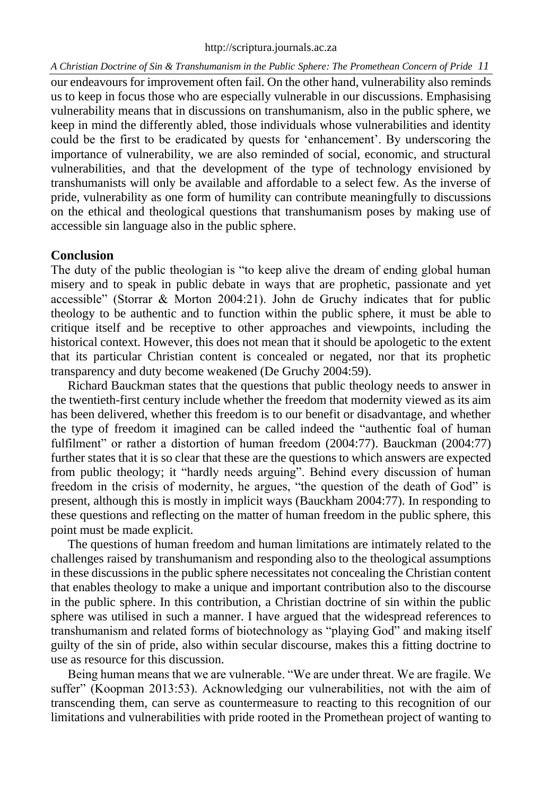our endeavours for improvement often fail. On the other hand, vulnerability also reminds us to keep in focus those who are especially vulnerable in our discussions. Emphasising vulnerability means that in discussions on transhumanism, also in the public sphere, we keep in mind the differently abled, those individuals whose vulnerabilities and identity could be the first to be eradicated by quests for 'enhancement'. By underscoring the importance of vulnerability, we are also reminded of social, economic, and structural vulnerabilities, and that the development of the type of technology envisioned by transhumanists will only be available and affordable to a select few. As the inverse of pride, vulnerability as one form of humility can contribute meaningfully to discussions on the ethical and theological questions that transhumanism poses by making use of accessible sin language also in the public sphere.

# **Conclusion**

The duty of the public theologian is "to keep alive the dream of ending global human misery and to speak in public debate in ways that are prophetic, passionate and yet accessible" (Storrar & Morton 2004:21). John de Gruchy indicates that for public theology to be authentic and to function within the public sphere, it must be able to critique itself and be receptive to other approaches and viewpoints, including the historical context. However, this does not mean that it should be apologetic to the extent that its particular Christian content is concealed or negated, nor that its prophetic transparency and duty become weakened (De Gruchy 2004:59).

Richard Bauckman states that the questions that public theology needs to answer in the twentieth-first century include whether the freedom that modernity viewed as its aim has been delivered, whether this freedom is to our benefit or disadvantage, and whether the type of freedom it imagined can be called indeed the "authentic foal of human fulfilment" or rather a distortion of human freedom (2004:77). Bauckman (2004:77) further states that it is so clear that these are the questions to which answers are expected from public theology; it "hardly needs arguing". Behind every discussion of human freedom in the crisis of modernity, he argues, "the question of the death of God" is present, although this is mostly in implicit ways (Bauckham 2004:77). In responding to these questions and reflecting on the matter of human freedom in the public sphere, this point must be made explicit.

The questions of human freedom and human limitations are intimately related to the challenges raised by transhumanism and responding also to the theological assumptions in these discussions in the public sphere necessitates not concealing the Christian content that enables theology to make a unique and important contribution also to the discourse in the public sphere. In this contribution, a Christian doctrine of sin within the public sphere was utilised in such a manner. I have argued that the widespread references to transhumanism and related forms of biotechnology as "playing God" and making itself guilty of the sin of pride, also within secular discourse, makes this a fitting doctrine to use as resource for this discussion.

Being human means that we are vulnerable. "We are under threat. We are fragile. We suffer" (Koopman 2013:53). Acknowledging our vulnerabilities, not with the aim of transcending them, can serve as countermeasure to reacting to this recognition of our limitations and vulnerabilities with pride rooted in the Promethean project of wanting to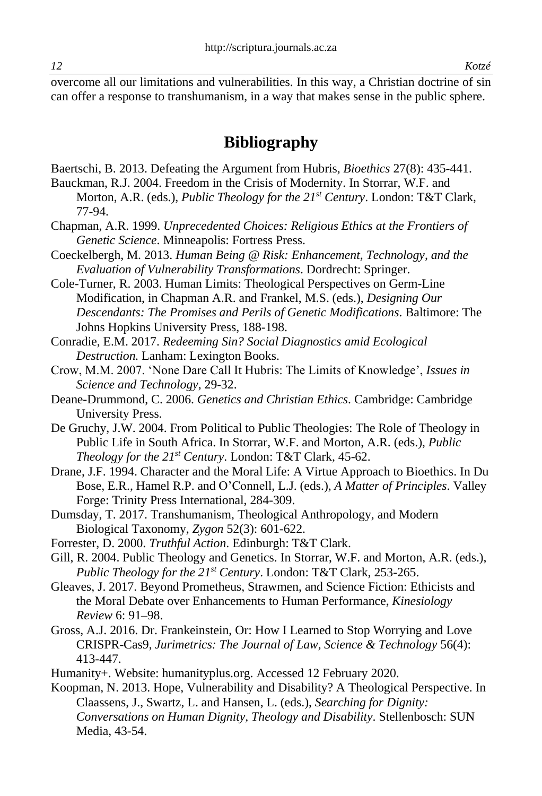overcome all our limitations and vulnerabilities. In this way, a Christian doctrine of sin can offer a response to transhumanism, in a way that makes sense in the public sphere.

# **Bibliography**

Baertschi, B. 2013. Defeating the Argument from Hubris, *Bioethics* 27(8): 435-441.

- Bauckman, R.J. 2004. Freedom in the Crisis of Modernity. In Storrar, W.F. and Morton, A.R. (eds.), *Public Theology for the 21st Century*. London: T&T Clark, 77-94.
- Chapman, A.R. 1999. *Unprecedented Choices: Religious Ethics at the Frontiers of Genetic Science*. Minneapolis: Fortress Press.
- Coeckelbergh, M. 2013. *Human Being @ Risk: Enhancement, Technology, and the Evaluation of Vulnerability Transformations*. Dordrecht: Springer.
- Cole-Turner, R. 2003. Human Limits: Theological Perspectives on Germ-Line Modification, in Chapman A.R. and Frankel, M.S. (eds.), *Designing Our Descendants: The Promises and Perils of Genetic Modifications*. Baltimore: The Johns Hopkins University Press, 188-198.
- Conradie, E.M. 2017. *Redeeming Sin? Social Diagnostics amid Ecological Destruction.* Lanham: Lexington Books.
- Crow, M.M. 2007. 'None Dare Call It Hubris: The Limits of Knowledge', *Issues in Science and Technology*, 29-32.
- Deane-Drummond, C. 2006. *Genetics and Christian Ethics*. Cambridge: Cambridge University Press.
- De Gruchy, J.W. 2004. From Political to Public Theologies: The Role of Theology in Public Life in South Africa. In Storrar, W.F. and Morton, A.R. (eds.), *Public Theology for the 21st Century*. London: T&T Clark, 45-62.
- Drane, J.F. 1994. Character and the Moral Life: A Virtue Approach to Bioethics. In Du Bose, E.R., Hamel R.P. and O'Connell, L.J. (eds.), *A Matter of Principles*. Valley Forge: Trinity Press International, 284-309.
- Dumsday, T. 2017. Transhumanism, Theological Anthropology, and Modern Biological Taxonomy, *Zygon* 52(3): 601-622.
- Forrester, D. 2000. *Truthful Action*. Edinburgh: T&T Clark.
- Gill, R. 2004. Public Theology and Genetics. In Storrar, W.F. and Morton, A.R. (eds.), *Public Theology for the 21st Century*. London: T&T Clark, 253-265.
- Gleaves, J. 2017. Beyond Prometheus, Strawmen, and Science Fiction: Ethicists and the Moral Debate over Enhancements to Human Performance, *Kinesiology Review* 6: 91–98.
- Gross, A.J. 2016. Dr. Frankeinstein, Or: How I Learned to Stop Worrying and Love CRISPR-Cas9, *Jurimetrics: The Journal of Law, Science & Technology* 56(4): 413-447.
- Humanity+. Website: humanityplus.org. Accessed 12 February 2020.
- Koopman, N. 2013. Hope, Vulnerability and Disability? A Theological Perspective. In Claassens, J., Swartz, L. and Hansen, L. (eds.), *Searching for Dignity: Conversations on Human Dignity, Theology and Disability*. Stellenbosch: SUN Media, 43-54.